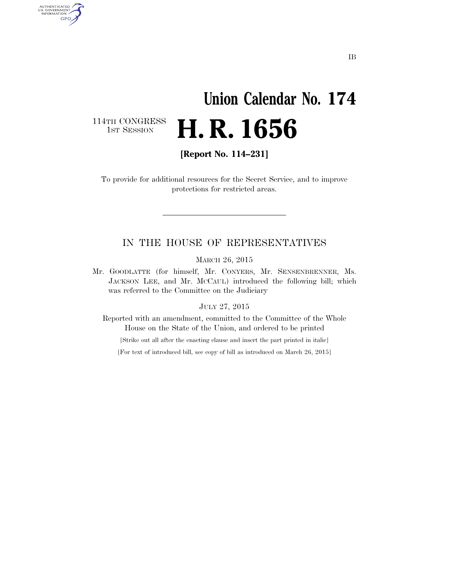# **Union Calendar No. 174**  H. R. 1656

114TH CONGRESS<br>1st Session

AUTHENTICATED<br>U.S. GOVERNMENT<br>INFORMATION GPO

**[Report No. 114–231]** 

To provide for additional resources for the Secret Service, and to improve protections for restricted areas.

#### IN THE HOUSE OF REPRESENTATIVES

MARCH 26, 2015

Mr. GOODLATTE (for himself, Mr. CONYERS, Mr. SENSENBRENNER, Ms. JACKSON LEE, and Mr. MCCAUL) introduced the following bill; which was referred to the Committee on the Judiciary

JULY 27, 2015

Reported with an amendment, committed to the Committee of the Whole House on the State of the Union, and ordered to be printed

[Strike out all after the enacting clause and insert the part printed in italic]

[For text of introduced bill, see copy of bill as introduced on March 26, 2015]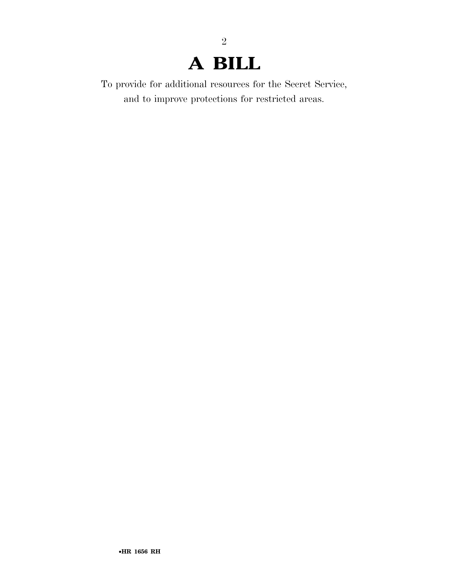### **A BILL**

2

To provide for additional resources for the Secret Service, and to improve protections for restricted areas.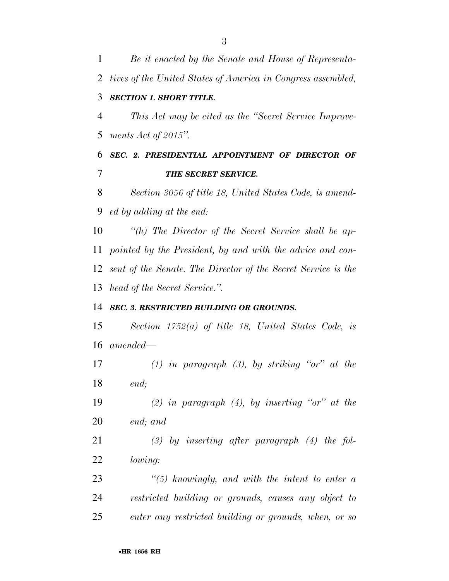*Be it enacted by the Senate and House of Representa- tives of the United States of America in Congress assembled, SECTION 1. SHORT TITLE. This Act may be cited as the ''Secret Service Improve- ments Act of 2015''. SEC. 2. PRESIDENTIAL APPOINTMENT OF DIRECTOR OF THE SECRET SERVICE. Section 3056 of title 18, United States Code, is amend- ed by adding at the end: ''(h) The Director of the Secret Service shall be ap-pointed by the President, by and with the advice and con-*

 *sent of the Senate. The Director of the Secret Service is the head of the Secret Service.''.* 

#### *SEC. 3. RESTRICTED BUILDING OR GROUNDS.*

 *Section 1752(a) of title 18, United States Code, is amended—* 

 *(1) in paragraph (3), by striking ''or'' at the end;* 

 *(2) in paragraph (4), by inserting ''or'' at the end; and* 

 *(3) by inserting after paragraph (4) the fol-lowing:* 

 *''(5) knowingly, and with the intent to enter a restricted building or grounds, causes any object to enter any restricted building or grounds, when, or so*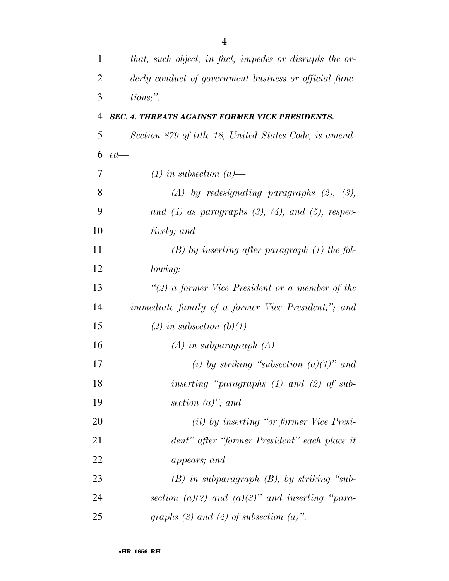| $\mathbf{1}$   | that, such object, in fact, impedes or disrupts the or-     |
|----------------|-------------------------------------------------------------|
| $\overline{2}$ | derly conduct of government business or official func-      |
| 3              | $tions;$ ".                                                 |
| 4              | SEC. 4. THREATS AGAINST FORMER VICE PRESIDENTS.             |
| 5              | Section 879 of title 18, United States Code, is amend-      |
| 6              | $ed$ —                                                      |
| 7              | $(1)$ in subsection $(a)$ —                                 |
| 8              | $(A)$ by redesignating paragraphs $(2)$ , $(3)$ ,           |
| 9              | and $(4)$ as paragraphs $(3)$ , $(4)$ , and $(5)$ , respec- |
| 10             | tively; and                                                 |
| 11             | $(B)$ by inserting after paragraph $(1)$ the fol-           |
| 12             | lowing:                                                     |
| 13             | "(2) a former Vice President or a member of the             |
| 14             | immediate family of a former Vice President;"; and          |
| 15             | (2) in subsection $(b)(1)$ —                                |
| 16             | $(A)$ in subparagraph $(A)$ —                               |
| 17             | (i) by striking "subsection $(a)(1)$ " and                  |
| 18             | inserting "paragraphs (1) and (2) of sub-                   |
| 19             | section $(a)$ "; and                                        |
| 20             | ( <i>ii</i> ) by inserting "or former Vice Presi-           |
| 21             | dent" after "former President" each place it                |
| 22             | appears; and                                                |
| 23             | $(B)$ in subparagraph $(B)$ , by striking "sub-             |
| 24             | section (a)(2) and (a)(3)" and inserting "para-             |
| 25             | graphs (3) and (4) of subsection (a)".                      |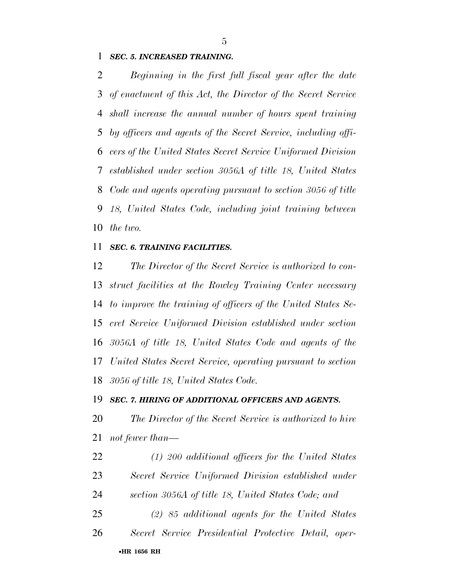#### *SEC. 5. INCREASED TRAINING.*

 *Beginning in the first full fiscal year after the date of enactment of this Act, the Director of the Secret Service shall increase the annual number of hours spent training by officers and agents of the Secret Service, including offi- cers of the United States Secret Service Uniformed Division established under section 3056A of title 18, United States Code and agents operating pursuant to section 3056 of title 18, United States Code, including joint training between the two.* 

#### *SEC. 6. TRAINING FACILITIES.*

 *The Director of the Secret Service is authorized to con- struct facilities at the Rowley Training Center necessary to improve the training of officers of the United States Se- cret Service Uniformed Division established under section 3056A of title 18, United States Code and agents of the United States Secret Service, operating pursuant to section 3056 of title 18, United States Code.* 

#### *SEC. 7. HIRING OF ADDITIONAL OFFICERS AND AGENTS.*

 *The Director of the Secret Service is authorized to hire not fewer than—* 

 *(1) 200 additional officers for the United States Secret Service Uniformed Division established under section 3056A of title 18, United States Code; and (2) 85 additional agents for the United States*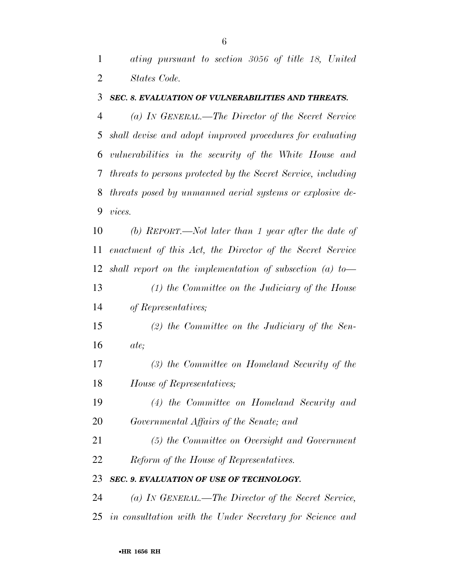*ating pursuant to section 3056 of title 18, United States Code.* 

#### *SEC. 8. EVALUATION OF VULNERABILITIES AND THREATS.*

 *(a) IN GENERAL.—The Director of the Secret Service shall devise and adopt improved procedures for evaluating vulnerabilities in the security of the White House and threats to persons protected by the Secret Service, including threats posed by unmanned aerial systems or explosive de-vices.* 

 *(b) REPORT.—Not later than 1 year after the date of enactment of this Act, the Director of the Secret Service shall report on the implementation of subsection (a) to—* 

 *(1) the Committee on the Judiciary of the House of Representatives;* 

 *(2) the Committee on the Judiciary of the Sen-ate;* 

 *(3) the Committee on Homeland Security of the House of Representatives;* 

 *(4) the Committee on Homeland Security and Governmental Affairs of the Senate; and* 

 *(5) the Committee on Oversight and Government Reform of the House of Representatives.* 

#### *SEC. 9. EVALUATION OF USE OF TECHNOLOGY.*

*(a) IN GENERAL.—The Director of the Secret Service,* 

*in consultation with the Under Secretary for Science and*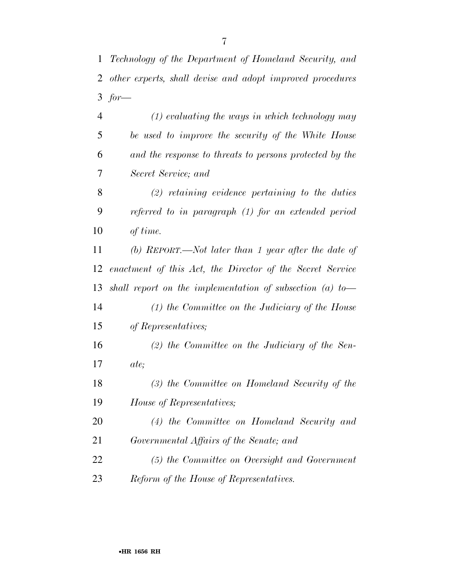|   | $(1)$ evaluating the ways in which technology may       |
|---|---------------------------------------------------------|
| 5 | be used to improve the security of the White House      |
| 6 | and the response to threats to persons protected by the |
|   | Secret Service; and                                     |

 *(2) retaining evidence pertaining to the duties referred to in paragraph (1) for an extended period of time.* 

 *(b) REPORT.—Not later than 1 year after the date of enactment of this Act, the Director of the Secret Service shall report on the implementation of subsection (a) to—* 

- *(1) the Committee on the Judiciary of the House of Representatives;*
- *(2) the Committee on the Judiciary of the Sen-ate;*
- *(3) the Committee on Homeland Security of the House of Representatives;*

 *(4) the Committee on Homeland Security and Governmental Affairs of the Senate; and* 

 *(5) the Committee on Oversight and Government Reform of the House of Representatives.*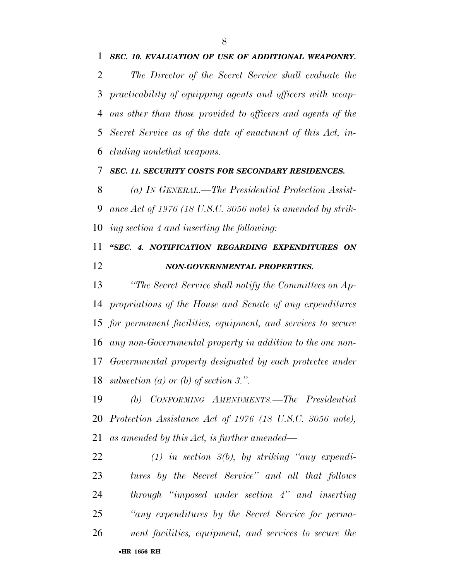*The Director of the Secret Service shall evaluate the practicability of equipping agents and officers with weap- ons other than those provided to officers and agents of the Secret Service as of the date of enactment of this Act, in-cluding nonlethal weapons.* 

#### *SEC. 11. SECURITY COSTS FOR SECONDARY RESIDENCES.*

 *(a) IN GENERAL.—The Presidential Protection Assist- ance Act of 1976 (18 U.S.C. 3056 note) is amended by strik-ing section 4 and inserting the following:* 

### *''SEC. 4. NOTIFICATION REGARDING EXPENDITURES ON NON-GOVERNMENTAL PROPERTIES.*

 *''The Secret Service shall notify the Committees on Ap- propriations of the House and Senate of any expenditures for permanent facilities, equipment, and services to secure any non-Governmental property in addition to the one non- Governmental property designated by each protectee under subsection (a) or (b) of section 3.''.* 

 *(b) CONFORMING AMENDMENTS.—The Presidential Protection Assistance Act of 1976 (18 U.S.C. 3056 note), as amended by this Act, is further amended—* 

•**HR 1656 RH** *(1) in section 3(b), by striking ''any expendi- tures by the Secret Service'' and all that follows through ''imposed under section 4'' and inserting ''any expenditures by the Secret Service for perma-nent facilities, equipment, and services to secure the*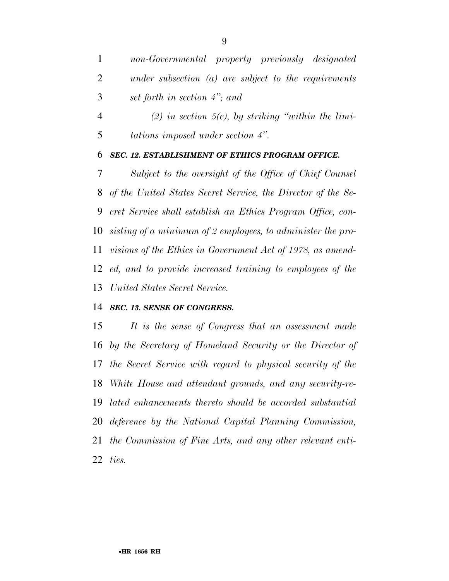*non-Governmental property previously designated under subsection (a) are subject to the requirements set forth in section 4''; and* 

 *(2) in section 5(c), by striking ''within the limi-tations imposed under section 4''.* 

#### *SEC. 12. ESTABLISHMENT OF ETHICS PROGRAM OFFICE.*

 *Subject to the oversight of the Office of Chief Counsel of the United States Secret Service, the Director of the Se- cret Service shall establish an Ethics Program Office, con- sisting of a minimum of 2 employees, to administer the pro- visions of the Ethics in Government Act of 1978, as amend- ed, and to provide increased training to employees of the United States Secret Service.* 

#### *SEC. 13. SENSE OF CONGRESS.*

 *It is the sense of Congress that an assessment made by the Secretary of Homeland Security or the Director of the Secret Service with regard to physical security of the White House and attendant grounds, and any security-re- lated enhancements thereto should be accorded substantial deference by the National Capital Planning Commission, the Commission of Fine Arts, and any other relevant enti-ties.*